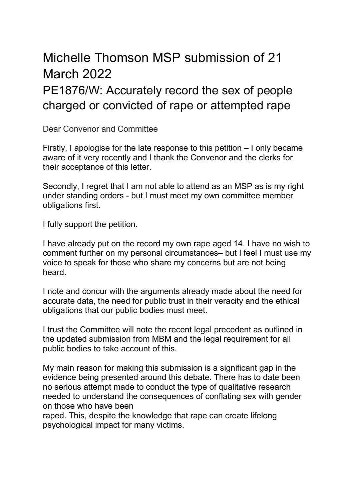## Michelle Thomson MSP submission of 21 March 2022

## PE1876/W: Accurately record the sex of people charged or convicted of rape or attempted rape

Dear Convenor and Committee

Firstly, I apologise for the late response to this petition – I only became aware of it very recently and I thank the Convenor and the clerks for their acceptance of this letter.

Secondly, I regret that I am not able to attend as an MSP as is my right under standing orders - but I must meet my own committee member obligations first.

I fully support the petition.

I have already put on the record my own rape aged 14. I have no wish to comment further on my personal circumstances– but I feel I must use my voice to speak for those who share my concerns but are not being heard.

I note and concur with the arguments already made about the need for accurate data, the need for public trust in their veracity and the ethical obligations that our public bodies must meet.

I trust the Committee will note the recent legal precedent as outlined in the updated submission from MBM and the legal requirement for all public bodies to take account of this.

My main reason for making this submission is a significant gap in the evidence being presented around this debate. There has to date been no serious attempt made to conduct the type of qualitative research needed to understand the consequences of conflating sex with gender on those who have been

raped. This, despite the knowledge that rape can create lifelong psychological impact for many victims.